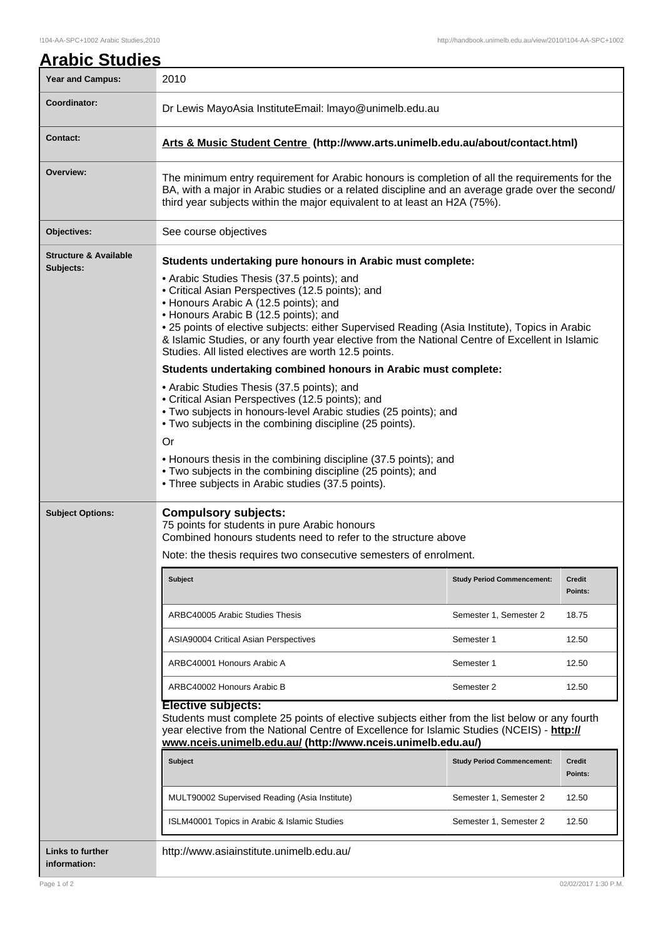| <b>Year and Campus:</b>                       | 2010                                                                                                                                                                                                                                                                                                                                                                                                                                          |                          |  |
|-----------------------------------------------|-----------------------------------------------------------------------------------------------------------------------------------------------------------------------------------------------------------------------------------------------------------------------------------------------------------------------------------------------------------------------------------------------------------------------------------------------|--------------------------|--|
| Coordinator:                                  | Dr Lewis MayoAsia InstituteEmail: Imayo@unimelb.edu.au                                                                                                                                                                                                                                                                                                                                                                                        |                          |  |
| <b>Contact:</b>                               | Arts & Music Student Centre (http://www.arts.unimelb.edu.au/about/contact.html)                                                                                                                                                                                                                                                                                                                                                               |                          |  |
| Overview:                                     | The minimum entry requirement for Arabic honours is completion of all the requirements for the<br>BA, with a major in Arabic studies or a related discipline and an average grade over the second/<br>third year subjects within the major equivalent to at least an H2A (75%).                                                                                                                                                               |                          |  |
| Objectives:                                   | See course objectives                                                                                                                                                                                                                                                                                                                                                                                                                         |                          |  |
| <b>Structure &amp; Available</b><br>Subjects: | Students undertaking pure honours in Arabic must complete:                                                                                                                                                                                                                                                                                                                                                                                    |                          |  |
|                                               | • Arabic Studies Thesis (37.5 points); and<br>• Critical Asian Perspectives (12.5 points); and<br>• Honours Arabic A (12.5 points); and<br>• Honours Arabic B (12.5 points); and<br>. 25 points of elective subjects: either Supervised Reading (Asia Institute), Topics in Arabic<br>& Islamic Studies, or any fourth year elective from the National Centre of Excellent in Islamic<br>Studies. All listed electives are worth 12.5 points. |                          |  |
|                                               | Students undertaking combined honours in Arabic must complete:                                                                                                                                                                                                                                                                                                                                                                                |                          |  |
|                                               | • Arabic Studies Thesis (37.5 points); and<br>• Critical Asian Perspectives (12.5 points); and<br>. Two subjects in honours-level Arabic studies (25 points); and<br>• Two subjects in the combining discipline (25 points).                                                                                                                                                                                                                  |                          |  |
|                                               | <b>Or</b>                                                                                                                                                                                                                                                                                                                                                                                                                                     |                          |  |
|                                               | • Honours thesis in the combining discipline (37.5 points); and<br>. Two subjects in the combining discipline (25 points); and<br>• Three subjects in Arabic studies (37.5 points).                                                                                                                                                                                                                                                           |                          |  |
| <b>Subject Options:</b>                       | <b>Compulsory subjects:</b><br>75 points for students in pure Arabic honours<br>Combined honours students need to refer to the structure above                                                                                                                                                                                                                                                                                                |                          |  |
|                                               | Note: the thesis requires two consecutive semesters of enrolment.                                                                                                                                                                                                                                                                                                                                                                             |                          |  |
|                                               | <b>Subject</b><br><b>Study Period Commencement:</b>                                                                                                                                                                                                                                                                                                                                                                                           | <b>Credit</b><br>Points: |  |
|                                               | ARBC40005 Arabic Studies Thesis<br>Semester 1, Semester 2                                                                                                                                                                                                                                                                                                                                                                                     | 18.75                    |  |
|                                               | ASIA90004 Critical Asian Perspectives<br>Semester 1                                                                                                                                                                                                                                                                                                                                                                                           | 12.50                    |  |
|                                               | ARBC40001 Honours Arabic A<br>Semester 1                                                                                                                                                                                                                                                                                                                                                                                                      | 12.50                    |  |
|                                               | ARBC40002 Honours Arabic B<br>Semester 2                                                                                                                                                                                                                                                                                                                                                                                                      | 12.50                    |  |
|                                               | <b>Elective subjects:</b><br>Students must complete 25 points of elective subjects either from the list below or any fourth<br>year elective from the National Centre of Excellence for Islamic Studies (NCEIS) - http://<br>www.nceis.unimelb.edu.au/ (http://www.nceis.unimelb.edu.au/)                                                                                                                                                     |                          |  |
|                                               | <b>Subject</b><br><b>Study Period Commencement:</b>                                                                                                                                                                                                                                                                                                                                                                                           | <b>Credit</b><br>Points: |  |
|                                               | MULT90002 Supervised Reading (Asia Institute)<br>Semester 1, Semester 2                                                                                                                                                                                                                                                                                                                                                                       | 12.50                    |  |
|                                               | ISLM40001 Topics in Arabic & Islamic Studies<br>Semester 1, Semester 2                                                                                                                                                                                                                                                                                                                                                                        | 12.50                    |  |
| <b>Links to further</b><br>information:       | http://www.asiainstitute.unimelb.edu.au/                                                                                                                                                                                                                                                                                                                                                                                                      |                          |  |

 $\mathbf l$